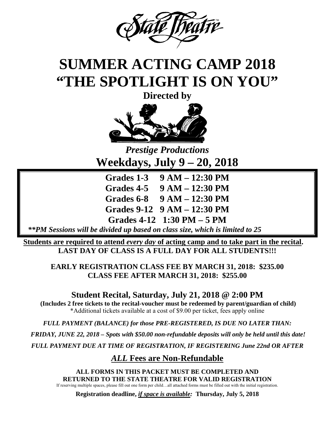

# **SUMMER ACTING CAMP 2018 "THE SPOTLIGHT IS ON YOU"**

**Directed by** 



*Prestige Productions*  **Weekdays, July 9 – 20, 2018** 

**Grades 1-3 9 AM – 12:30 PM Grades 4-5 9 AM – 12:30 PM Grades 6-8 9 AM – 12:30 PM Grades 9-12 9 AM – 12:30 PM Grades 4-12 1:30 PM – 5 PM** 

*\*\*PM Sessions will be divided up based on class size, which is limited to 25* 

**Students are required to attend** *every day* **of acting camp and to take part in the recital.**  LAST DAY OF CLASS IS A FULL DAY FOR ALL STUDENTS!!!

**EARLY REGISTRATION CLASS FEE BY MARCH 31, 2018: \$235.00 CLASS FEE AFTER MARCH 31, 2018: \$255.00** 

**Student Recital, Saturday, July 21, 2018 @ 2:00 PM** 

 **(Includes 2 free tickets to the recital-voucher must be redeemed by parent/guardian of child)**  \*Additional tickets available at a cost of \$9.00 per ticket, fees apply online

*FULL PAYMENT (BALANCE) for those PRE-REGISTERED, IS DUE NO LATER THAN:* 

 *FRIDAY, JUNE 22, 2018 – Spots with \$50.00 non-refundable deposits will only be held until this date!* 

*FULL PAYMENT DUE AT TIME OF REGISTRATION, IF REGISTERING June 22nd OR AFTER* 

## *ALL* **Fees are Non-Refundable**

**ALL FORMS IN THIS PACKET MUST BE COMPLETED AND RETURNED TO THE STATE THEATRE FOR VALID REGISTRATION**  If reserving multiple spaces, please fill out one form per child…all attached forms must be filled out with the initial registration.

**Registration deadline,** *if space is available:* **Thursday, July 5, 2018**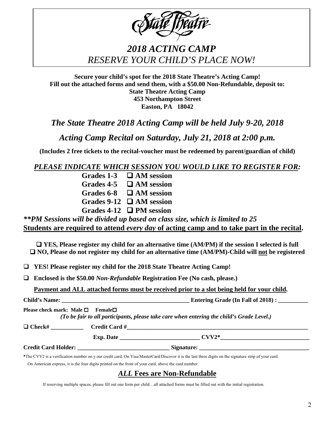| <b>State Theatre</b> |
|----------------------|
|----------------------|

# *2018 ACTING CAMP RESERVE YOUR CHILD'S PLACE NOW!*

**Secure your child's spot for the 2018 State Theatre's Acting Camp! Fill out the attached forms and send them, with a \$50.00 Non-Refundable, deposit to: State Theatre Acting Camp 453 Northampton Street Easton, PA 18042** 

*The State Theatre 2018 Acting Camp will be held July 9-20, 2018* 

*Acting Camp Recital on Saturday, July 21, 2018 at 2:00 p.m.* 

**(Includes 2 free tickets to the recital-voucher must be redeemed by parent/guardian of child)** 

#### *PLEASE INDICATE WHICH SESSION YOU WOULD LIKE TO REGISTER FOR:*

| <b>Grades 1-3</b> | $\Box$ AM session             |
|-------------------|-------------------------------|
| Grades 4-5        | $\Box$ AM session             |
| <b>Grades 6-8</b> | $\Box$ AM session             |
|                   | Grades 9-12 $\Box$ AM session |
|                   | Grades 4-12 $\Box$ PM session |

*\*\*PM Sessions will be divided up based on class size, which is limited to 25*  **Students are required to attend** *every day* **of acting camp and to take part in the recital.** 

□ YES, Please register my child for an alternative time (AM/PM) if the session I selected is full □ NO, Please do not register my child for an alternative time (AM/PM)-Child will <u>not</u> be registered

**YES! Please register my child for the 2018 State Theatre Acting Camp!** 

**Enclosed is the \$50.00** *Non-Refundable* **Registration Fee (No cash, please.)** 

**Payment and ALL attached forms must be received prior to a slot being held for your child.** 

|                                                    |                                                                                                                                                                                                                                                                                         | Entering Grade (In Fall of 2018) : _________                                              |
|----------------------------------------------------|-----------------------------------------------------------------------------------------------------------------------------------------------------------------------------------------------------------------------------------------------------------------------------------------|-------------------------------------------------------------------------------------------|
| Please check mark: Male $\square$ Female $\square$ |                                                                                                                                                                                                                                                                                         | (To be fair to all participants, please take care when entering the child's Grade Level.) |
| $\Box$ Check#                                      | $Credit Card #$ 2004. $\frac{4}{100}$ 2004. $\frac{4}{100}$ 2004. $\frac{4}{100}$ 2004. $\frac{4}{100}$ 2004. $\frac{4}{100}$ 2004. $\frac{4}{100}$ 2004. $\frac{4}{100}$ 2004. $\frac{4}{100}$ 2004. $\frac{4}{100}$ 2004. $\frac{4}{100}$ 2004. $\frac{4}{100}$ 2004. $\frac{4}{100}$ |                                                                                           |
|                                                    |                                                                                                                                                                                                                                                                                         | Exp. Date $CVV2^*$                                                                        |
|                                                    | Credit Card Holder:                                                                                                                                                                                                                                                                     |                                                                                           |

**\***The CVV2 is a verification number on y our credit card. On Visa/MasterCard/Discover it is the last three digits on the signature strip of your card.

On American express, it is the four digits printed on the front of your card, above the card number.

#### *ALL* **Fees are Non-Refundable**

If reserving multiple spaces, please fill out one form per child…all attached forms must be filled out with the initial registration.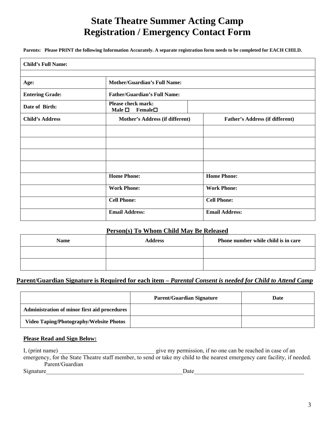# **State Theatre Summer Acting Camp Registration / Emergency Contact Form**

**Parents: Please PRINT the following Information Accurately. A separate registration form needs to be completed for EACH CHILD.** 

| <b>Child's Full Name:</b> |                                                              |                                        |
|---------------------------|--------------------------------------------------------------|----------------------------------------|
|                           |                                                              |                                        |
| Age:                      | <b>Mother/Guardian's Full Name:</b>                          |                                        |
| <b>Entering Grade:</b>    | <b>Father/Guardian's Full Name:</b>                          |                                        |
| Date of Birth:            | <b>Please check mark:</b><br>Male $\square$<br>$\bf{Female}$ |                                        |
| <b>Child's Address</b>    | Mother's Address (if different)                              | <b>Father's Address (if different)</b> |
|                           |                                                              |                                        |
|                           |                                                              |                                        |
|                           |                                                              |                                        |
|                           |                                                              |                                        |
|                           | <b>Home Phone:</b>                                           | <b>Home Phone:</b>                     |
|                           | <b>Work Phone:</b>                                           | <b>Work Phone:</b>                     |
|                           | <b>Cell Phone:</b>                                           | <b>Cell Phone:</b>                     |
|                           | <b>Email Address:</b>                                        | <b>Email Address:</b>                  |

#### **Person(s) To Whom Child May Be Released**

| <b>Name</b> | <b>Address</b> | Phone number while child is in care |
|-------------|----------------|-------------------------------------|
|             |                |                                     |
|             |                |                                     |

#### **Parent/Guardian Signature is Required for each item –** *Parental Consent is needed for Child to Attend Camp*

|                                                | <b>Parent/Guardian Signature</b> | Date |
|------------------------------------------------|----------------------------------|------|
| Administration of minor first aid procedures   |                                  |      |
| <b>Video Taping/Photography/Website Photos</b> |                                  |      |

#### **Please Read and Sign Below:**

I, (print name) \_\_\_\_\_\_\_\_\_\_\_\_\_\_\_\_\_\_\_\_\_\_\_\_\_\_\_\_\_\_\_\_ give my permission, if no one can be reached in case of an emergency, for the State Theatre staff member, to send or take my child to the nearest emergency care facility, if needed. Parent/Guardian Signature\_\_\_\_\_\_\_\_\_\_\_\_\_\_\_\_\_\_\_\_\_\_\_\_\_\_\_\_\_\_\_\_\_\_\_\_\_\_\_\_\_\_\_\_\_\_Date\_\_\_\_\_\_\_\_\_\_\_\_\_\_\_\_\_\_\_\_\_\_\_\_\_\_\_\_\_\_\_\_\_\_\_\_\_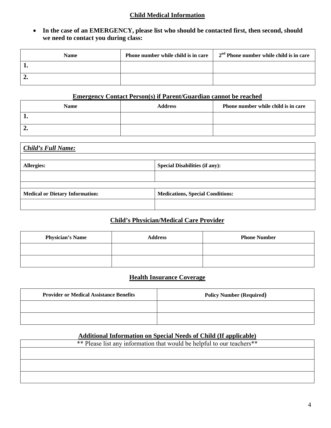#### **Child Medical Information**

#### **In the case of an EMERGENCY, please list who should be contacted first, then second, should we need to contact you during class:**

| <b>Name</b> | Phone number while child is in care | $2nd$ Phone number while child is in care |
|-------------|-------------------------------------|-------------------------------------------|
|             |                                     |                                           |
|             |                                     |                                           |

#### **Emergency Contact Person(s) if Parent/Guardian cannot be reached**

| <b>Name</b> | <b>Address</b> | Phone number while child is in care |
|-------------|----------------|-------------------------------------|
|             |                |                                     |
| ∸∙          |                |                                     |

# *Child's Full Name:* Allergies: **Special Disabilities (if any): Special Disabilities (if any):** Medical or Dietary Information: **Medications, Special Conditions: Medications**, Special Conditions:

#### **Child's Physician/Medical Care Provider**

| <b>Physician's Name</b> | <b>Address</b> | <b>Phone Number</b> |
|-------------------------|----------------|---------------------|
|                         |                |                     |
|                         |                |                     |

#### **Health Insurance Coverage**

| <b>Provider or Medical Assistance Benefits</b> | <b>Policy Number (Required)</b> |
|------------------------------------------------|---------------------------------|
|                                                |                                 |
|                                                |                                 |

#### **Additional Information on Special Needs of Child (If applicable)**

| ** Please list any information that would be helpful to our teachers** |  |  |
|------------------------------------------------------------------------|--|--|
|                                                                        |  |  |
|                                                                        |  |  |
|                                                                        |  |  |
|                                                                        |  |  |
|                                                                        |  |  |